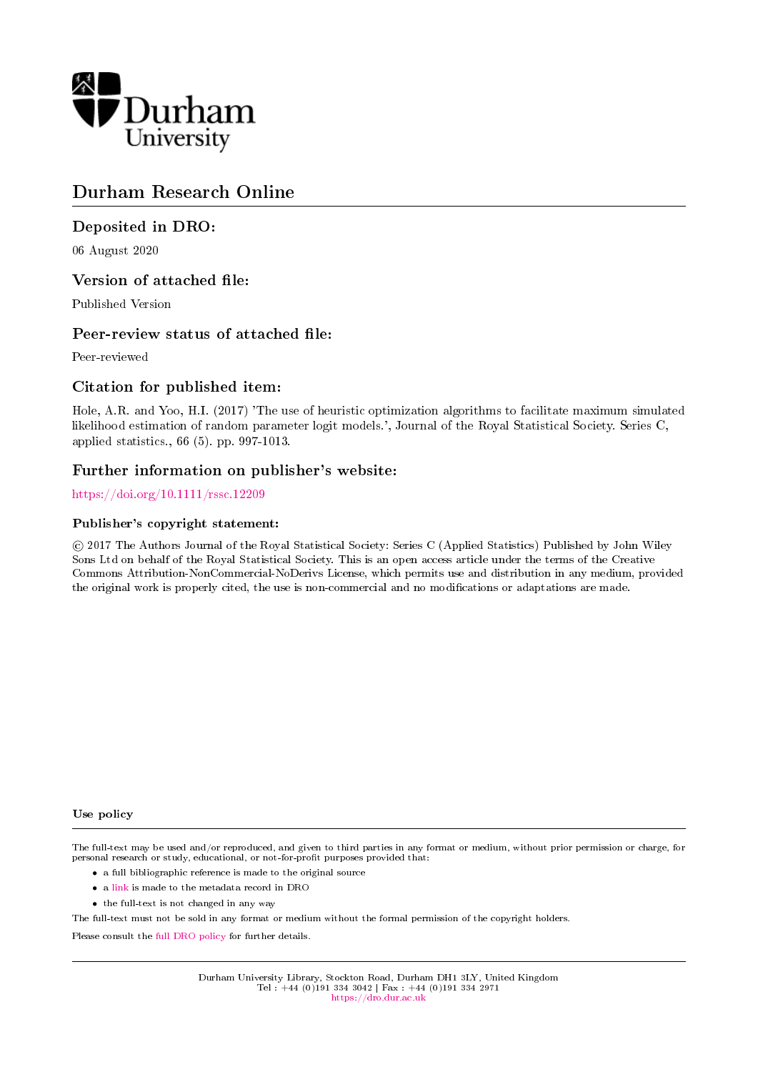

# Durham Research Online

# Deposited in DRO:

06 August 2020

# Version of attached file:

Published Version

# Peer-review status of attached file:

Peer-reviewed

# Citation for published item:

Hole, A.R. and Yoo, H.I. (2017) 'The use of heuristic optimization algorithms to facilitate maximum simulated likelihood estimation of random parameter logit models.', Journal of the Royal Statistical Society. Series C, applied statistics., 66 (5). pp. 997-1013.

# Further information on publisher's website:

<https://doi.org/10.1111/rssc.12209>

# Publisher's copyright statement:

 c 2017 The Authors Journal of the Royal Statistical Society: Series C (Applied Statistics) Published by John Wiley Sons Ltd on behalf of the Royal Statistical Society. This is an open access article under the terms of the Creative Commons Attribution-NonCommercial-NoDerivs License, which permits use and distribution in any medium, provided the original work is properly cited, the use is non-commercial and no modications or adaptations are made.

## Use policy

The full-text may be used and/or reproduced, and given to third parties in any format or medium, without prior permission or charge, for personal research or study, educational, or not-for-profit purposes provided that:

- a full bibliographic reference is made to the original source
- a [link](http://dro.dur.ac.uk/20333/) is made to the metadata record in DRO
- the full-text is not changed in any way

The full-text must not be sold in any format or medium without the formal permission of the copyright holders.

Please consult the [full DRO policy](https://dro.dur.ac.uk/policies/usepolicy.pdf) for further details.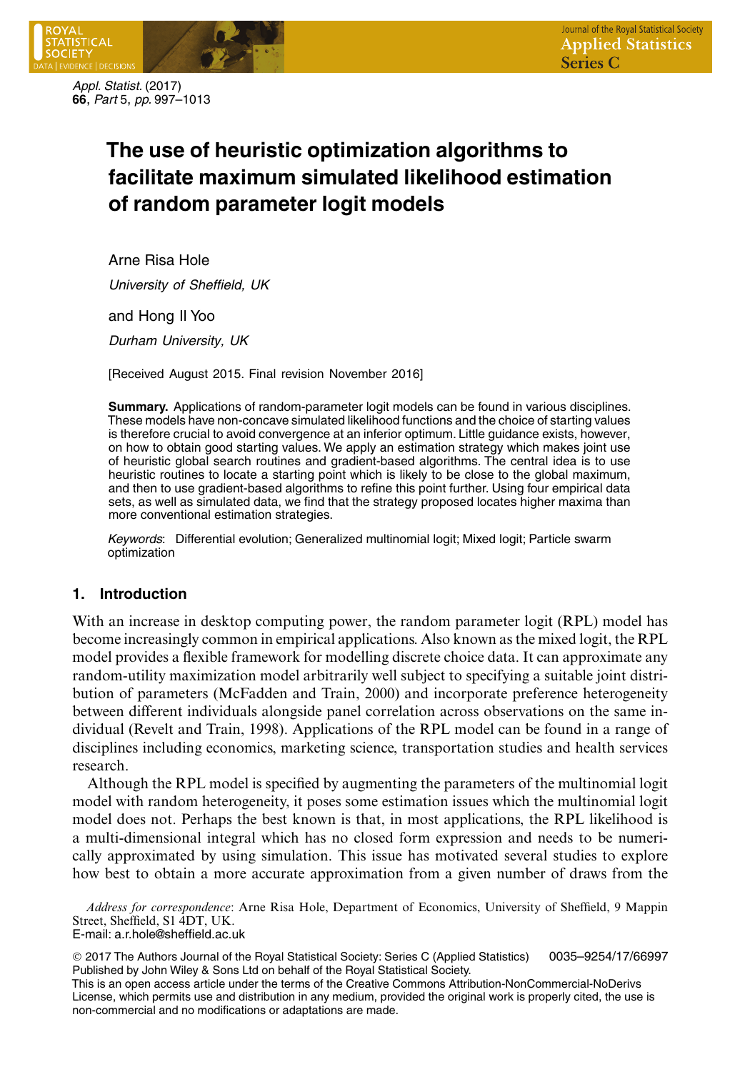

*Appl. Statist.* (2017) **66**, *Part* 5, *pp.* 997–1013

# **The use of heuristic optimization algorithms to facilitate maximum simulated likelihood estimation of random parameter logit models**

Arne Risa Hole *University of Sheffield, UK*

and Hong Il Yoo

*Durham University, UK*

[Received August 2015. Final revision November 2016]

**Summary.** Applications of random-parameter logit models can be found in various disciplines. These models have non-concave simulated likelihood functions and the choice of starting values is therefore crucial to avoid convergence at an inferior optimum. Little guidance exists, however, on how to obtain good starting values. We apply an estimation strategy which makes joint use of heuristic global search routines and gradient-based algorithms. The central idea is to use heuristic routines to locate a starting point which is likely to be close to the global maximum, and then to use gradient-based algorithms to refine this point further. Using four empirical data sets, as well as simulated data, we find that the strategy proposed locates higher maxima than more conventional estimation strategies.

*Keywords*: Differential evolution; Generalized multinomial logit; Mixed logit; Particle swarm optimization

# **1. Introduction**

With an increase in desktop computing power, the random parameter logit (RPL) model has become increasingly common in empirical applications. Also known as the mixed logit, the RPL model provides a flexible framework for modelling discrete choice data. It can approximate any random-utility maximization model arbitrarily well subject to specifying a suitable joint distribution of parameters (McFadden and Train, 2000) and incorporate preference heterogeneity between different individuals alongside panel correlation across observations on the same individual (Revelt and Train, 1998). Applications of the RPL model can be found in a range of disciplines including economics, marketing science, transportation studies and health services research.

Although the RPL model is specified by augmenting the parameters of the multinomial logit model with random heterogeneity, it poses some estimation issues which the multinomial logit model does not. Perhaps the best known is that, in most applications, the RPL likelihood is a multi-dimensional integral which has no closed form expression and needs to be numerically approximated by using simulation. This issue has motivated several studies to explore how best to obtain a more accurate approximation from a given number of draws from the

*Address for correspondence*: Arne Risa Hole, Department of Economics, University of Sheffield, 9 Mappin Street, Sheffield, S1 4DT, UK.

E-mail: a.r.hole@sheffield.ac.uk

<sup>©</sup> 2017 The Authors Journal of the Royal Statistical Society: Series C (Applied Statistics) Published by John Wiley & Sons Ltd on behalf of the Royal Statistical Society. 0035–9254/17/66997

This is an open access article under the terms of the Creative Commons Attribution-NonCommercial-NoDerivs License, which permits use and distribution in any medium, provided the original work is properly cited, the use is non-commercial and no modifications or adaptations are made.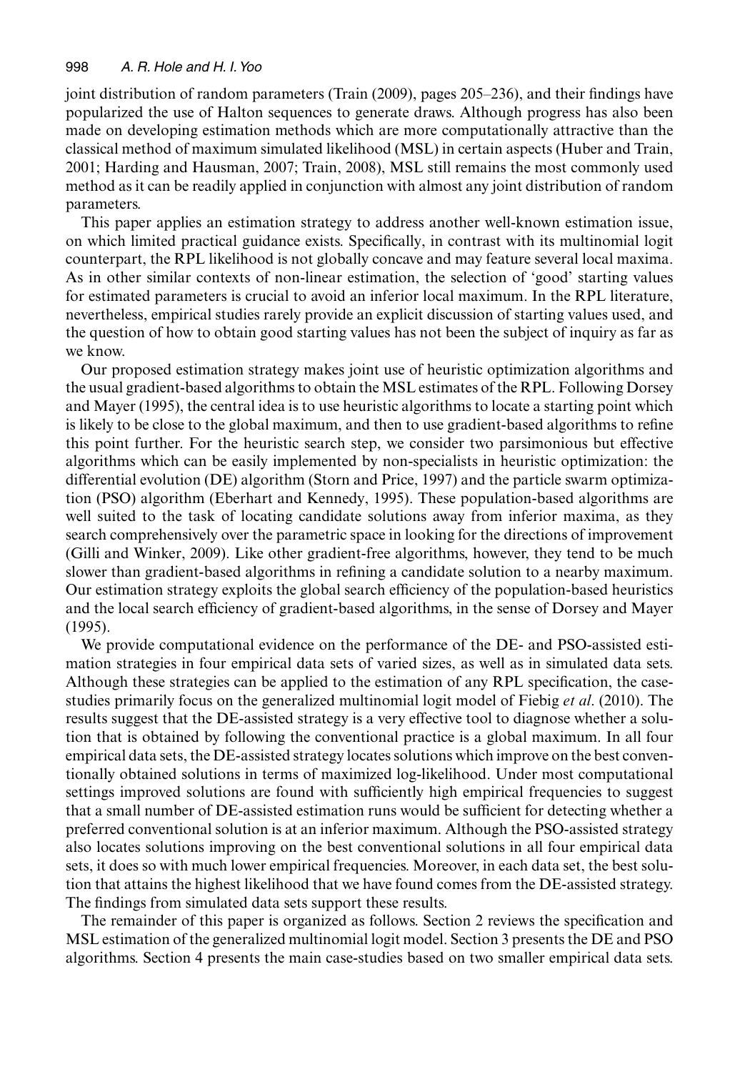joint distribution of random parameters (Train (2009), pages 205–236), and their findings have popularized the use of Halton sequences to generate draws. Although progress has also been made on developing estimation methods which are more computationally attractive than the classical method of maximum simulated likelihood (MSL) in certain aspects (Huber and Train, 2001; Harding and Hausman, 2007; Train, 2008), MSL still remains the most commonly used method as it can be readily applied in conjunction with almost any joint distribution of random parameters.

This paper applies an estimation strategy to address another well-known estimation issue, on which limited practical guidance exists. Specifically, in contrast with its multinomial logit counterpart, the RPL likelihood is not globally concave and may feature several local maxima. As in other similar contexts of non-linear estimation, the selection of 'good' starting values for estimated parameters is crucial to avoid an inferior local maximum. In the RPL literature, nevertheless, empirical studies rarely provide an explicit discussion of starting values used, and the question of how to obtain good starting values has not been the subject of inquiry as far as we know.

Our proposed estimation strategy makes joint use of heuristic optimization algorithms and the usual gradient-based algorithms to obtain the MSL estimates of the RPL. Following Dorsey and Mayer (1995), the central idea is to use heuristic algorithms to locate a starting point which is likely to be close to the global maximum, and then to use gradient-based algorithms to refine this point further. For the heuristic search step, we consider two parsimonious but effective algorithms which can be easily implemented by non-specialists in heuristic optimization: the differential evolution (DE) algorithm (Storn and Price, 1997) and the particle swarm optimization (PSO) algorithm (Eberhart and Kennedy, 1995). These population-based algorithms are well suited to the task of locating candidate solutions away from inferior maxima, as they search comprehensively over the parametric space in looking for the directions of improvement (Gilli and Winker, 2009). Like other gradient-free algorithms, however, they tend to be much slower than gradient-based algorithms in refining a candidate solution to a nearby maximum. Our estimation strategy exploits the global search efficiency of the population-based heuristics and the local search efficiency of gradient-based algorithms, in the sense of Dorsey and Mayer (1995).

We provide computational evidence on the performance of the DE- and PSO-assisted estimation strategies in four empirical data sets of varied sizes, as well as in simulated data sets. Although these strategies can be applied to the estimation of any RPL specification, the casestudies primarily focus on the generalized multinomial logit model of Fiebig *et al*. (2010). The results suggest that the DE-assisted strategy is a very effective tool to diagnose whether a solution that is obtained by following the conventional practice is a global maximum. In all four empirical data sets, the DE-assisted strategy locates solutions which improve on the best conventionally obtained solutions in terms of maximized log-likelihood. Under most computational settings improved solutions are found with sufficiently high empirical frequencies to suggest that a small number of DE-assisted estimation runs would be sufficient for detecting whether a preferred conventional solution is at an inferior maximum. Although the PSO-assisted strategy also locates solutions improving on the best conventional solutions in all four empirical data sets, it does so with much lower empirical frequencies. Moreover, in each data set, the best solution that attains the highest likelihood that we have found comes from the DE-assisted strategy. The findings from simulated data sets support these results.

The remainder of this paper is organized as follows. Section 2 reviews the specification and MSL estimation of the generalized multinomial logit model. Section 3 presents the DE and PSO algorithms. Section 4 presents the main case-studies based on two smaller empirical data sets.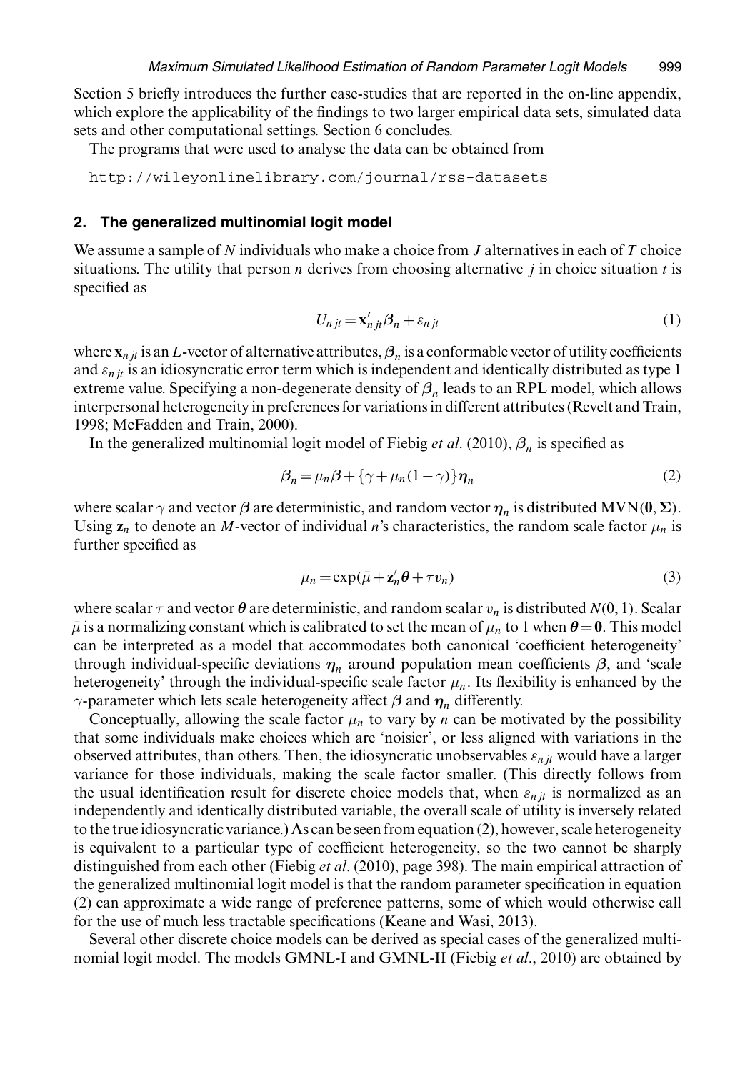Section 5 briefly introduces the further case-studies that are reported in the on-line appendix, which explore the applicability of the findings to two larger empirical data sets, simulated data sets and other computational settings. Section 6 concludes.

The programs that were used to analyse the data can be obtained from

http://wileyonlinelibrary.com/journal/rss-datasets

#### **2. The generalized multinomial logit model**

We assume a sample of N individuals who make a choice from J alternatives in each of T choice situations. The utility that person *n* derives from choosing alternative *j* in choice situation *t* is specified as

$$
U_{njt} = \mathbf{x}'_{njt} \mathcal{B}_n + \varepsilon_{njt} \tag{1}
$$

where  $\mathbf{x}_{nji}$  is an L-vector of alternative attributes,  $\beta_n$  is a conformable vector of utility coefficients and  $\varepsilon_{n,i}$  is an idiosyncratic error term which is independent and identically distributed as type 1 extreme value. Specifying a non-degenerate density of *β*n leads to an RPL model, which allows interpersonal heterogeneity in preferences for variations in different attributes (Revelt and Train, 1998; McFadden and Train, 2000).

In the generalized multinomial logit model of Fiebig *et al.* (2010),  $\beta_n$  is specified as

$$
\beta_n = \mu_n \beta + \{ \gamma + \mu_n (1 - \gamma) \} \eta_n \tag{2}
$$

where scalar  $\gamma$  and vector  $\beta$  are deterministic, and random vector  $\eta_n$  is distributed MVN $(0, \Sigma)$ . Using  $z_n$  to denote an *M*-vector of individual *n*'s characteristics, the random scale factor  $\mu_n$  is further specified as

$$
\mu_n = \exp(\bar{\mu} + \mathbf{z}_n' \boldsymbol{\theta} + \tau v_n)
$$
\n(3)

where scalar  $\tau$  and vector  $\theta$  are deterministic, and random scalar  $v_n$  is distributed  $N(0, 1)$ . Scalar  $\bar{\mu}$  is a normalizing constant which is calibrated to set the mean of  $\mu_n$  to 1 when  $\theta = 0$ . This model can be interpreted as a model that accommodates both canonical 'coefficient heterogeneity' through individual-specific deviations  $\eta_n$  around population mean coefficients  $\beta$ , and 'scale heterogeneity' through the individual-specific scale factor  $\mu_n$ . Its flexibility is enhanced by the  $γ$ -parameter which lets scale heterogeneity affect  $β$  and  $η_n$  differently.

Conceptually, allowing the scale factor  $\mu_n$  to vary by n can be motivated by the possibility that some individuals make choices which are 'noisier', or less aligned with variations in the observed attributes, than others. Then, the idiosyncratic unobservables  $\varepsilon_{n,i}$  would have a larger variance for those individuals, making the scale factor smaller. (This directly follows from the usual identification result for discrete choice models that, when  $\varepsilon_{njt}$  is normalized as an independently and identically distributed variable, the overall scale of utility is inversely related to the true idiosyncratic variance.) As can be seen from equation (2), however, scale heterogeneity is equivalent to a particular type of coefficient heterogeneity, so the two cannot be sharply distinguished from each other (Fiebig *et al*. (2010), page 398). The main empirical attraction of the generalized multinomial logit model is that the random parameter specification in equation (2) can approximate a wide range of preference patterns, some of which would otherwise call for the use of much less tractable specifications (Keane and Wasi, 2013).

Several other discrete choice models can be derived as special cases of the generalized multinomial logit model. The models GMNL-I and GMNL-II (Fiebig *et al*., 2010) are obtained by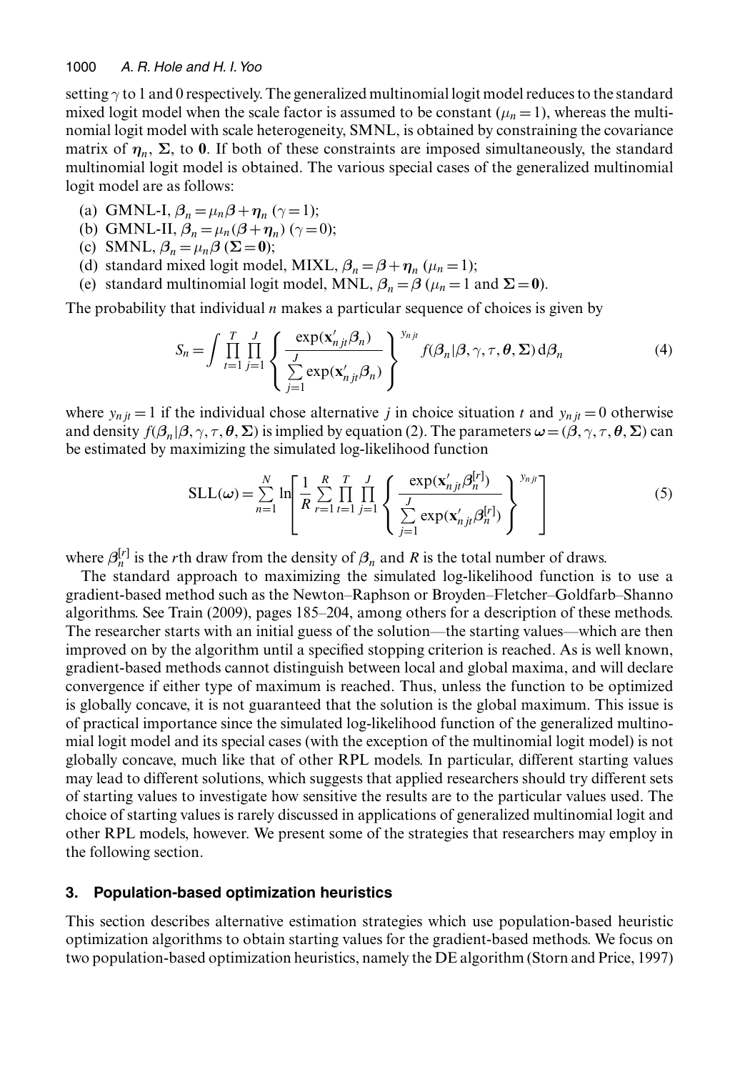setting  $\gamma$  to 1 and 0 respectively. The generalized multinomial logit model reduces to the standard mixed logit model when the scale factor is assumed to be constant ( $\mu_n = 1$ ), whereas the multinomial logit model with scale heterogeneity, SMNL, is obtained by constraining the covariance matrix of  $\eta_n$ ,  $\Sigma$ , to 0. If both of these constraints are imposed simultaneously, the standard multinomial logit model is obtained. The various special cases of the generalized multinomial logit model are as follows:

- (a) GMNL-I,  $\beta_n = \mu_n \beta + \eta_n$  ( $\gamma = 1$ );
- (b) GMNL-II,  $\beta_n = \mu_n(\beta + \eta_n)$  ( $\gamma = 0$ );
- (c) SMNL,  $\beta_n = \mu_n \beta$  ( $\Sigma = 0$ );
- (d) standard mixed logit model, MIXL,  $\beta_n = \beta + \eta_n$  ( $\mu_n = 1$ );
- (e) standard multinomial logit model, MNL,  $\beta_n = \beta (\mu_n = 1 \text{ and } \Sigma = 0)$ .

The probability that individual  $n$  makes a particular sequence of choices is given by

$$
S_n = \int \prod_{t=1}^T \prod_{j=1}^J \left\{ \frac{\exp(\mathbf{x}_{njt}'\boldsymbol{\beta}_n)}{\sum\limits_{j=1}^J \exp(\mathbf{x}_{njt}'\boldsymbol{\beta}_n)} \right\}^{y_{njt}} f(\boldsymbol{\beta}_n | \boldsymbol{\beta}, \gamma, \tau, \boldsymbol{\theta}, \boldsymbol{\Sigma}) d\boldsymbol{\beta}_n
$$
(4)

where  $y_{ni}=1$  if the individual chose alternative j in choice situation t and  $y_{ni}=0$  otherwise and density  $f(\beta_n|\beta, \gamma, \tau, \theta, \Sigma)$  is implied by equation (2). The parameters  $\omega = (\beta, \gamma, \tau, \theta, \Sigma)$  can be estimated by maximizing the simulated log-likelihood function

$$
SLL(\omega) = \sum_{n=1}^{N} \ln \left[ \frac{1}{R} \sum_{r=1}^{R} \prod_{t=1}^{T} \prod_{j=1}^{J} \left\{ \frac{\exp(\mathbf{x}_{nj}' \beta_n^{[r]})}{\sum_{j=1}^{J} \exp(\mathbf{x}_{nj}' \beta_n^{[r]})} \right\}^{y_{nj}} \right]
$$
(5)

where  $\beta_n^{[r]}$  is the *r*th draw from the density of  $\beta_n$  and R is the total number of draws.

The standard approach to maximizing the simulated log-likelihood function is to use a gradient-based method such as the Newton–Raphson or Broyden–Fletcher–Goldfarb–Shanno algorithms. See Train (2009), pages 185–204, among others for a description of these methods. The researcher starts with an initial guess of the solution—the starting values—which are then improved on by the algorithm until a specified stopping criterion is reached. As is well known, gradient-based methods cannot distinguish between local and global maxima, and will declare convergence if either type of maximum is reached. Thus, unless the function to be optimized is globally concave, it is not guaranteed that the solution is the global maximum. This issue is of practical importance since the simulated log-likelihood function of the generalized multinomial logit model and its special cases (with the exception of the multinomial logit model) is not globally concave, much like that of other RPL models. In particular, different starting values may lead to different solutions, which suggests that applied researchers should try different sets of starting values to investigate how sensitive the results are to the particular values used. The choice of starting values is rarely discussed in applications of generalized multinomial logit and other RPL models, however. We present some of the strategies that researchers may employ in the following section.

## **3. Population-based optimization heuristics**

This section describes alternative estimation strategies which use population-based heuristic optimization algorithms to obtain starting values for the gradient-based methods. We focus on two population-based optimization heuristics, namely the DE algorithm (Storn and Price, 1997)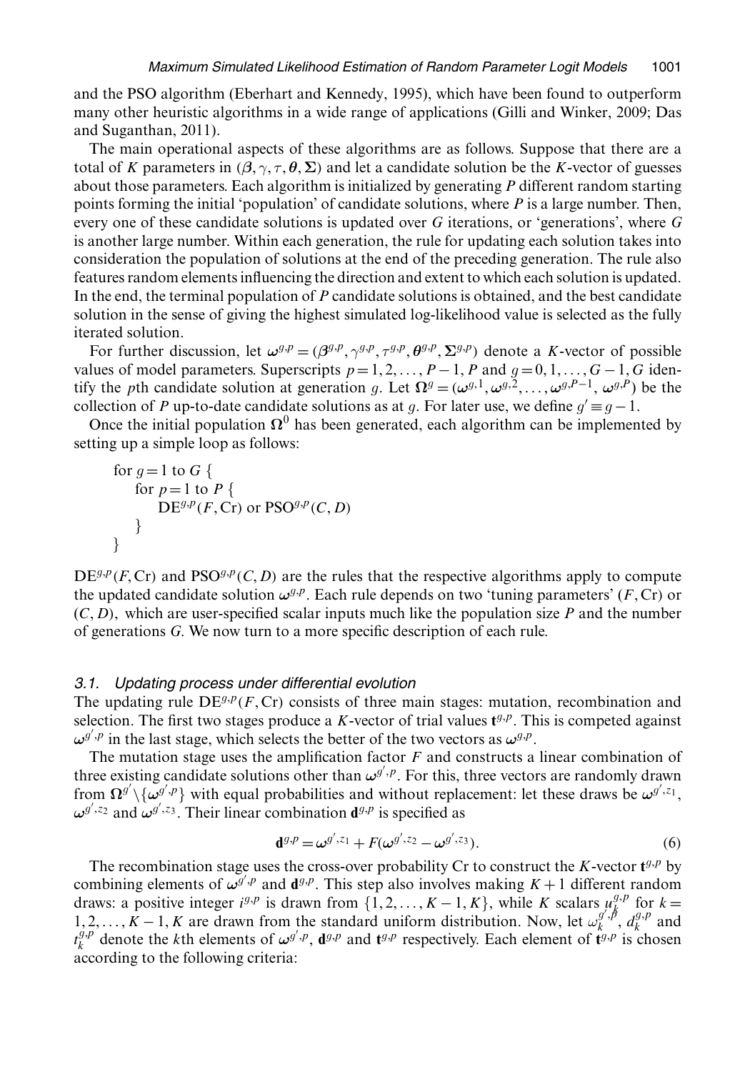and the PSO algorithm (Eberhart and Kennedy, 1995), which have been found to outperform many other heuristic algorithms in a wide range of applications (Gilli and Winker, 2009; Das and Suganthan, 2011).

The main operational aspects of these algorithms are as follows. Suppose that there are a total of K parameters in  $(\beta, \gamma, \tau, \theta, \Sigma)$  and let a candidate solution be the K-vector of guesses about those parameters. Each algorithm is initialized by generating *P* different random starting points forming the initial 'population' of candidate solutions, where *P* is a large number. Then, every one of these candidate solutions is updated over *G* iterations, or 'generations', where *G* is another large number. Within each generation, the rule for updating each solution takes into consideration the population of solutions at the end of the preceding generation. The rule also features random elements influencing the direction and extent to which each solution is updated. In the end, the terminal population of *P* candidate solutions is obtained, and the best candidate solution in the sense of giving the highest simulated log-likelihood value is selected as the fully iterated solution.

For further discussion, let  $\omega^{g,p} = (\beta^{g,p}, \gamma^{g,p}, \tau^{g,p}, \mathcal{B}^{g,p}, \Sigma^{g,p})$  denote a K-vector of possible values of model parameters. Superscripts  $p=1, 2, \ldots, P-1, P$  and  $q=0, 1, \ldots, G-1, G$  identify the pth candidate solution at generation g. Let  $\Omega^g = (\omega^{g,1}, \omega^{g,2}, \ldots, \omega^{g,P-1}, \omega^{g,P})$  be the collection of P up-to-date candidate solutions as at q. For later use, we define  $q' \equiv q-1$ .

llection of *P* up-to-date candidate solutions as at *g*. For later use, we define  $g' \equiv g - 1$ .<br>Once the initial population  $\Omega^0$  has been generated, each algorithm can be implemented by setting up a simple loop as follows:

for 
$$
g=1
$$
 to  $G$  {\n for  $p=1$  to  $P$  {\n }   
DE<sup>*g,p*</sup>(*F*,*Cr*) or  $PSO<sup>*g,p*</sup>(*C*,*D*) {\n } }$ 

 $DE<sup>g,p</sup>(F, Cr)$  and  $PSO<sup>g,p</sup>(C, D)$  are the rules that the respective algorithms apply to compute the updated candidate solution  $\omega^{g,p}$ . Each rule depends on two 'tuning parameters' (F, Cr) or  $(C, D)$ , which are user-specified scalar inputs much like the population size  $P$  and the number of generations *G*. We now turn to a more specific description of each rule.

# *3.1. Updating process under differential evolution*

The updating rule  $DE^{g,p}(F, Cr)$  consists of three main stages: mutation, recombination and selection. The first two stages produce a  $K$ -vector of trial values  $t^{g,p}$ . This is competed against  $\omega^{g', p}$  in the last stage, which selects the better of the two vectors as  $\omega^{g, p}$ .

The mutation stage uses the amplification factor  $F$  and constructs a linear combination of three existing candidate solutions other than  $\omega^{g',p}$ . For this, three vectors are randomly drawn from  $\Omega^{g'}\setminus\{\omega^{g',p}\}\$  with equal probabilities and without replacement: let these draws be  $\omega^{g',z_1}$ ,  $ω^{g',z_2}$  and  $ω^{g',z_3}$ . Their linear combination **d**<sup>g,p</sup> is specified as

$$
\mathbf{d}^{g,p} = \boldsymbol{\omega}^{g',z_1} + F(\boldsymbol{\omega}^{g',z_2} - \boldsymbol{\omega}^{g',z_3}).
$$
\n<sup>(6)</sup>

The recombination stage uses the cross-over probability Cr to construct the *K*-vector  $t^{g,p}$  by combining elements of  $\omega^{g',p}$  and  $\mathbf{d}^{g,p}$ . This step also involves making  $K + 1$  different random draws: a positive integer  $i^{g,p}$  is drawn from  $\{1, 2, ..., K-1, K\}$ , while K scalars  $u_k^{g,p}$  for  $k =$ 1, 2, ...,  $K - 1$ , K are drawn from the standard uniform distribution. Now, let  $\omega_k^{g/p}$ ,  $d_k^{g,p}$  and  $d_k^{g,p}$  denote the kth elements of  $\omega_k^{g/p}$  d<sup>g,p</sup> and  $d_k^{g,p}$  respectively. Each element of  $f_k^{g,p}$  is chosen  $t_{k}^{g,p}$  denote the kth elements of  $\omega^{g',p}$ ,  $\mathbf{d}^{g,p}$  and  $\mathbf{t}^{g,p}$  respectively. Each element of  $\mathbf{t}^{g,p}$  is chosen according to the following criteria: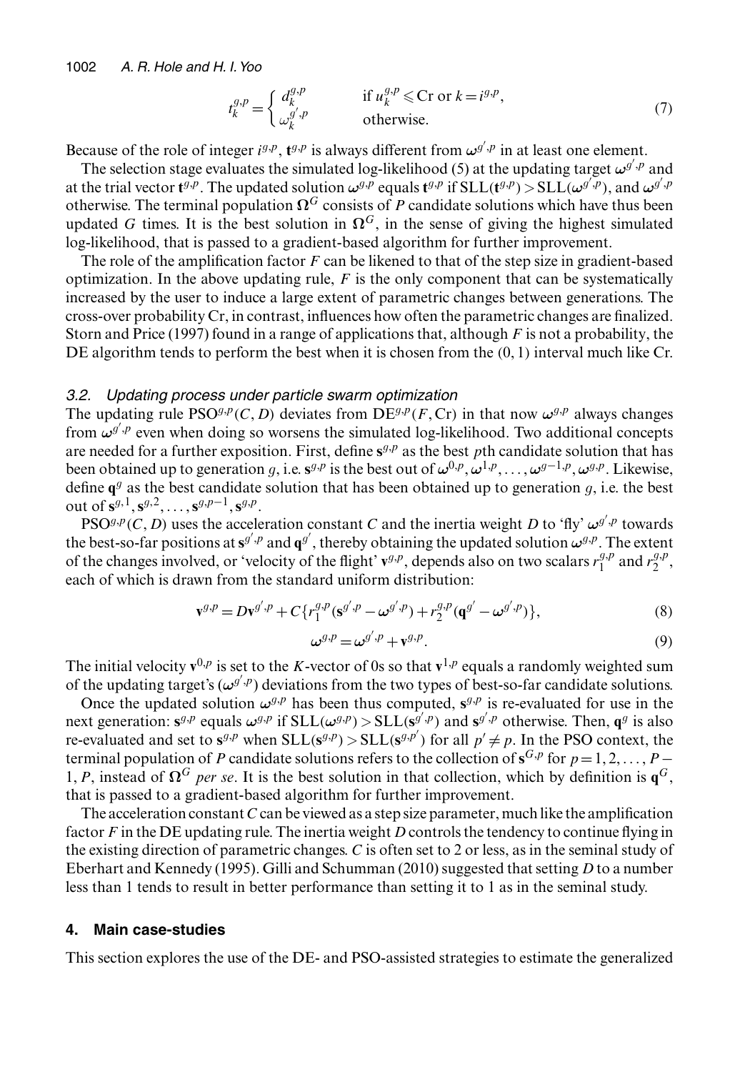$$
t_k^{g,p} = \begin{cases} d_k^{g,p} & \text{if } u_k^{g,p} \leq Cr \text{ or } k = i^{g,p}, \\ \omega_k^{g',p} & \text{otherwise.} \end{cases}
$$
(7)

Because of the role of integer  $i^{g,p}$ ,  $\mathbf{t}^{g,p}$  is always different from  $\omega^{g',p}$  in at least one element.

The selection stage evaluates the simulated log-likelihood (5) at the updating target  $\omega^{g',p}$  and at the trial vector  $\mathbf{t}^{g,p}$ . The updated solution  $\omega^{g,p}$  equals  $\mathbf{t}^{g,p}$  if  $SLL(\mathbf{t}^{g,p}) > SLL(\omega^{g',p})$ , and  $\omega^{g',p}$ otherwise. The terminal population  $\Omega^G$  consists of P candidate solutions which have thus been updated G times. It is the best solution in  $\Omega^G$ , in the sense of giving the highest simulated log-likelihood, that is passed to a gradient-based algorithm for further improvement.

The role of the amplification factor  $F$  can be likened to that of the step size in gradient-based optimization. In the above updating rule,  $F$  is the only component that can be systematically increased by the user to induce a large extent of parametric changes between generations. The cross-over probability Cr, in contrast, influences how often the parametric changes are finalized. Storn and Price (1997) found in a range of applications that, although  $F$  is not a probability, the DE algorithm tends to perform the best when it is chosen from the  $(0, 1)$  interval much like Cr.

#### *3.2. Updating process under particle swarm optimization*

The updating rule  $PSO<sup>g,p</sup>(C, D)$  deviates from  $DE<sup>g,p</sup>(F, Cr)$  in that now  $\omega<sup>g,p</sup>$  always changes from  $\omega^{g',p}$  even when doing so worsens the simulated log-likelihood. Two additional concepts are needed for a further exposition. First, define  $s^{g,p}$  as the best pth candidate solution that has been obtained up to generation q, i.e.  $\mathbf{s}^{g,p}$  is the best out of  $\omega^{0,p}, \omega^{1,p}, \ldots, \omega^{g-1,p}, \omega^{g,p}$ . Likewise, define  $\mathbf{q}^g$  as the best candidate solution that has been obtained up to generation  $q$ , i.e. the best out of  $s^{g,1}, s^{g,2}, \ldots, s^{g,p-1}, s^{g,p}.$ 

PSO<sup>g,p</sup>(C, D) uses the acceleration constant C and the inertia weight D to 'fly'  $\omega^{g',p}$  towards the best-so-far positions at  $s^{g',p}$  and  $\mathbf{q}^{g'}$ , thereby obtaining the updated solution  $\omega^{g,p}$ . The extent of the changes involved, or 'velocity of the flight'  $v^{g,p}$ , depends also on two scalars  $r_1^{g,p}$  and  $r_2^{g,p}$ , each of which is drawn from the standard uniform distribution:

$$
\mathbf{v}^{g,p} = D\mathbf{v}^{g',p} + C\{r_1^{g,p}(\mathbf{s}^{g',p} - \omega^{g',p}) + r_2^{g,p}(\mathbf{q}^{g'} - \omega^{g',p})\},\tag{8}
$$

$$
\omega^{g,p} = \omega^{g',p} + \mathbf{v}^{g,p}.\tag{9}
$$

The initial velocity  $\mathbf{v}^{0,p}$  is set to the K-vector of 0s so that  $\mathbf{v}^{1,p}$  equals a randomly weighted sum of the updating target's  $(\omega^{g',p})$  deviations from the two types of best-so-far candidate solutions.

Once the updated solution  $\omega^{g,p}$  has been thus computed,  $\mathbf{s}^{g,p}$  is re-evaluated for use in the next generation:  $s^{g,p}$  equals  $\omega^{g,p}$  if  $SLL(\omega^{g,p}) > SLL(s^{g',p})$  and  $s^{g',p}$  otherwise. Then,  $\mathbf{q}^g$  is also re-evaluated and set to  $s^{g,p}$  when SLL $(s^{g,p}) >$  SLL $(s^{g,p'})$  for all  $p' \neq p$ . In the PSO context, the terminal population of P candidate solutions refers to the collection of  $\mathbf{s}^{G,p}$  for  $p=1, 2, \ldots, P-$ 1, P, instead of  $\Omega^G$  *per se*. It is the best solution in that collection, which by definition is  $\mathbf{q}^G$ , that is passed to a gradient-based algorithm for further improvement.

The acceleration constant  $C$  can be viewed as a step size parameter, much like the amplification factor  $F$  in the DE updating rule. The inertia weight D controls the tendency to continue flying in the existing direction of parametric changes. C is often set to 2 or less, as in the seminal study of Eberhart and Kennedy (1995). Gilli and Schumman (2010) suggested that setting D to a number less than 1 tends to result in better performance than setting it to 1 as in the seminal study.

#### **4. Main case-studies**

This section explores the use of the DE- and PSO-assisted strategies to estimate the generalized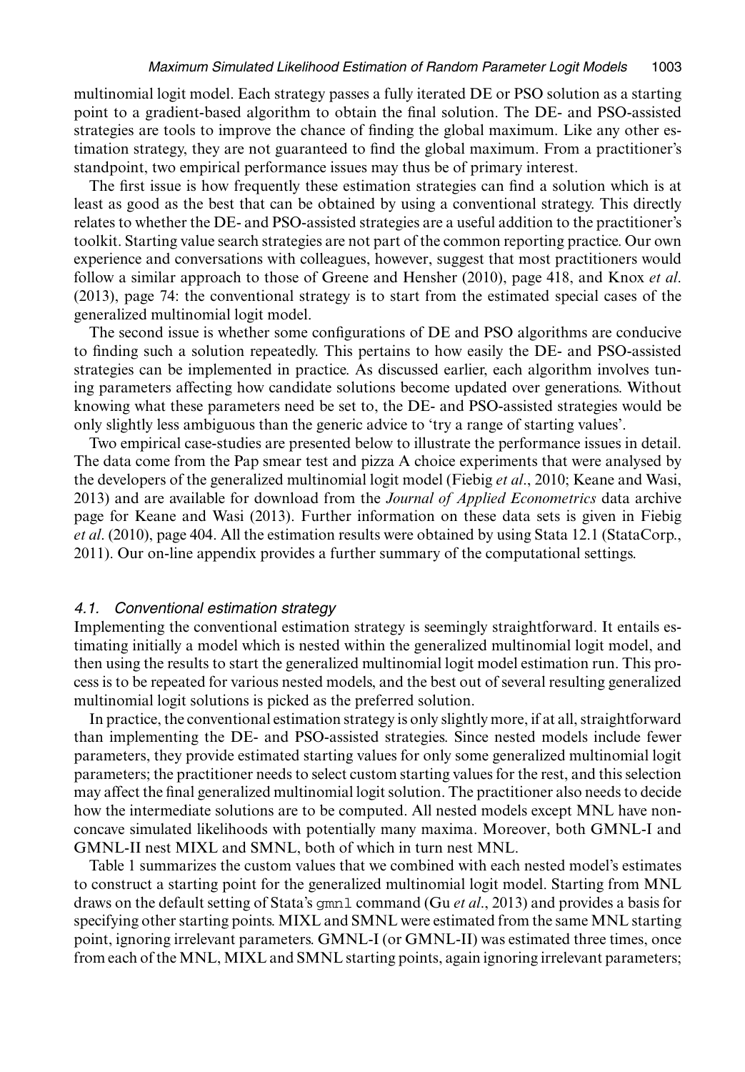multinomial logit model. Each strategy passes a fully iterated DE or PSO solution as a starting point to a gradient-based algorithm to obtain the final solution. The DE- and PSO-assisted strategies are tools to improve the chance of finding the global maximum. Like any other estimation strategy, they are not guaranteed to find the global maximum. From a practitioner's standpoint, two empirical performance issues may thus be of primary interest.

The first issue is how frequently these estimation strategies can find a solution which is at least as good as the best that can be obtained by using a conventional strategy. This directly relates to whether the DE- and PSO-assisted strategies are a useful addition to the practitioner's toolkit. Starting value search strategies are not part of the common reporting practice. Our own experience and conversations with colleagues, however, suggest that most practitioners would follow a similar approach to those of Greene and Hensher (2010), page 418, and Knox *et al*. (2013), page 74: the conventional strategy is to start from the estimated special cases of the generalized multinomial logit model.

The second issue is whether some configurations of DE and PSO algorithms are conducive to finding such a solution repeatedly. This pertains to how easily the DE- and PSO-assisted strategies can be implemented in practice. As discussed earlier, each algorithm involves tuning parameters affecting how candidate solutions become updated over generations. Without knowing what these parameters need be set to, the DE- and PSO-assisted strategies would be only slightly less ambiguous than the generic advice to 'try a range of starting values'.

Two empirical case-studies are presented below to illustrate the performance issues in detail. The data come from the Pap smear test and pizza A choice experiments that were analysed by the developers of the generalized multinomial logit model (Fiebig *et al*., 2010; Keane and Wasi, 2013) and are available for download from the *Journal of Applied Econometrics* data archive page for Keane and Wasi (2013). Further information on these data sets is given in Fiebig *et al*. (2010), page 404. All the estimation results were obtained by using Stata 12.1 (StataCorp., 2011). Our on-line appendix provides a further summary of the computational settings.

## *4.1. Conventional estimation strategy*

Implementing the conventional estimation strategy is seemingly straightforward. It entails estimating initially a model which is nested within the generalized multinomial logit model, and then using the results to start the generalized multinomial logit model estimation run. This process is to be repeated for various nested models, and the best out of several resulting generalized multinomial logit solutions is picked as the preferred solution.

In practice, the conventional estimation strategy is only slightly more, if at all, straightforward than implementing the DE- and PSO-assisted strategies. Since nested models include fewer parameters, they provide estimated starting values for only some generalized multinomial logit parameters; the practitioner needs to select custom starting values for the rest, and this selection may affect the final generalized multinomial logit solution. The practitioner also needs to decide how the intermediate solutions are to be computed. All nested models except MNL have nonconcave simulated likelihoods with potentially many maxima. Moreover, both GMNL-I and GMNL-II nest MIXL and SMNL, both of which in turn nest MNL.

Table 1 summarizes the custom values that we combined with each nested model's estimates to construct a starting point for the generalized multinomial logit model. Starting from MNL draws on the default setting of Stata's gmnl command (Gu *et al*., 2013) and provides a basis for specifying other starting points. MIXL and SMNL were estimated from the same MNL starting point, ignoring irrelevant parameters. GMNL-I (or GMNL-II) was estimated three times, once from each of the MNL, MIXL and SMNL starting points, again ignoring irrelevant parameters;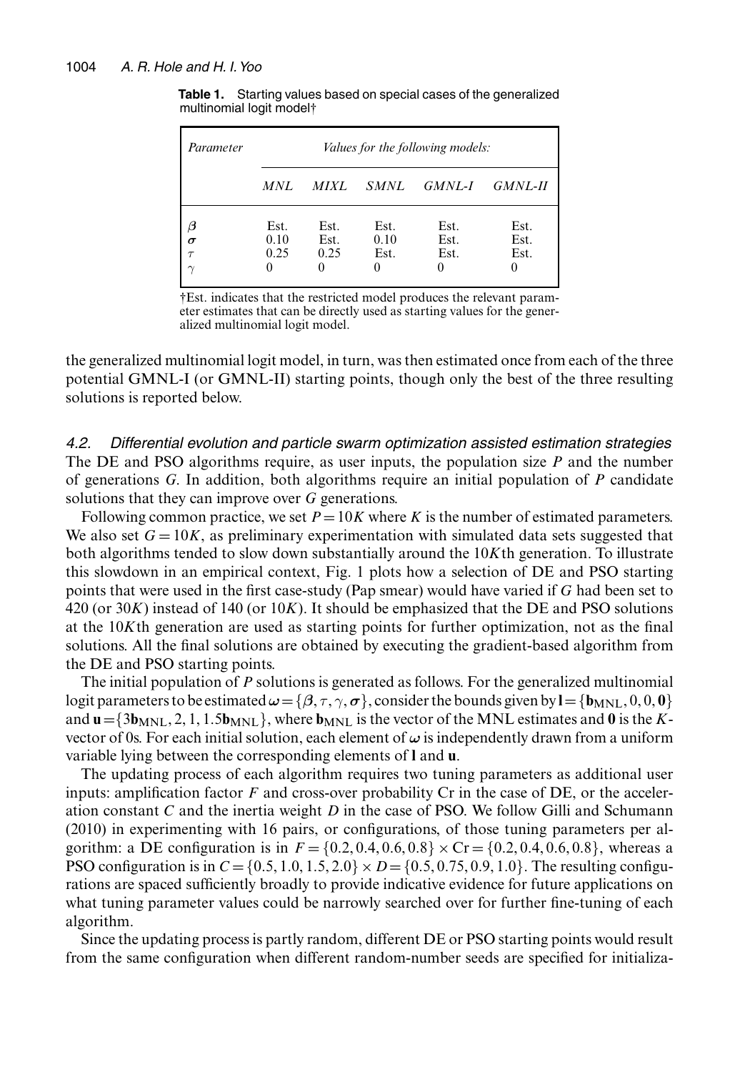| <b>Table 1.</b> Starting values based on special cases of the generalized |  |
|---------------------------------------------------------------------------|--|
| multinomial logit model <sup>†</sup>                                      |  |

| Parameter        | Values for the following models: |                           |                           |                      |                      |  |
|------------------|----------------------------------|---------------------------|---------------------------|----------------------|----------------------|--|
|                  | MNL                              | MIXL                      | <i>SMNL</i>               | GMNL-I               | GMNL-II              |  |
| β<br>σ<br>$\tau$ | Est.<br>0.10<br>0.25<br>0        | Est.<br>Est.<br>0.25<br>0 | Est.<br>0.10<br>Est.<br>0 | Est.<br>Est.<br>Est. | Est.<br>Est.<br>Est. |  |

†Est. indicates that the restricted model produces the relevant parameter estimates that can be directly used as starting values for the generalized multinomial logit model.

the generalized multinomial logit model, in turn, was then estimated once from each of the three potential GMNL-I (or GMNL-II) starting points, though only the best of the three resulting solutions is reported below.

*4.2. Differential evolution and particle swarm optimization assisted estimation strategies* The DE and PSO algorithms require, as user inputs, the population size *P* and the number of generations *G*. In addition, both algorithms require an initial population of *P* candidate solutions that they can improve over *G* generations.

Following common practice, we set  $P = 10K$  where K is the number of estimated parameters. We also set  $G = 10K$ , as preliminary experimentation with simulated data sets suggested that both algorithms tended to slow down substantially around the 10*K*th generation. To illustrate this slowdown in an empirical context, Fig. 1 plots how a selection of DE and PSO starting points that were used in the first case-study (Pap smear) would have varied if G had been set to 420 (or 30*K*) instead of 140 (or 10*K*). It should be emphasized that the DE and PSO solutions at the 10*K*th generation are used as starting points for further optimization, not as the final solutions. All the final solutions are obtained by executing the gradient-based algorithm from the DE and PSO starting points.

The initial population of P solutions is generated as follows. For the generalized multinomial logit parameters to be estimated  $\omega = {\beta, \tau, \gamma, \sigma}$ , consider the bounds given by  $\mathbf{l} = {\mathbf{b}_{\text{MNL}}}, 0, 0, \mathbf{0}$ and  $\mathbf{u} = \{3\mathbf{b}_{\text{MNL}}, 2, 1, 1.5\mathbf{b}_{\text{MNL}}\}$ , where  $\mathbf{b}_{\text{MNL}}$  is the vector of the MNL estimates and **0** is the *K*vector of 0s. For each initial solution, each element of *ω* is independently drawn from a uniform variable lying between the corresponding elements of **l** and **u**.

The updating process of each algorithm requires two tuning parameters as additional user inputs: amplification factor  $F$  and cross-over probability  $Cr$  in the case of DE, or the acceleration constant C and the inertia weight D in the case of PSO. We follow Gilli and Schumann (2010) in experimenting with 16 pairs, or configurations, of those tuning parameters per algorithm: a DE configuration is in  $F = \{0.2, 0.4, 0.6, 0.8\} \times \text{Cr} = \{0.2, 0.4, 0.6, 0.8\}$ , whereas a PSO configuration is in  $C = \{0.5, 1.0, 1.5, 2.0\} \times D = \{0.5, 0.75, 0.9, 1.0\}$ . The resulting configurations are spaced sufficiently broadly to provide indicative evidence for future applications on what tuning parameter values could be narrowly searched over for further fine-tuning of each algorithm.

Since the updating process is partly random, different DE or PSO starting points would result from the same configuration when different random-number seeds are specified for initializa-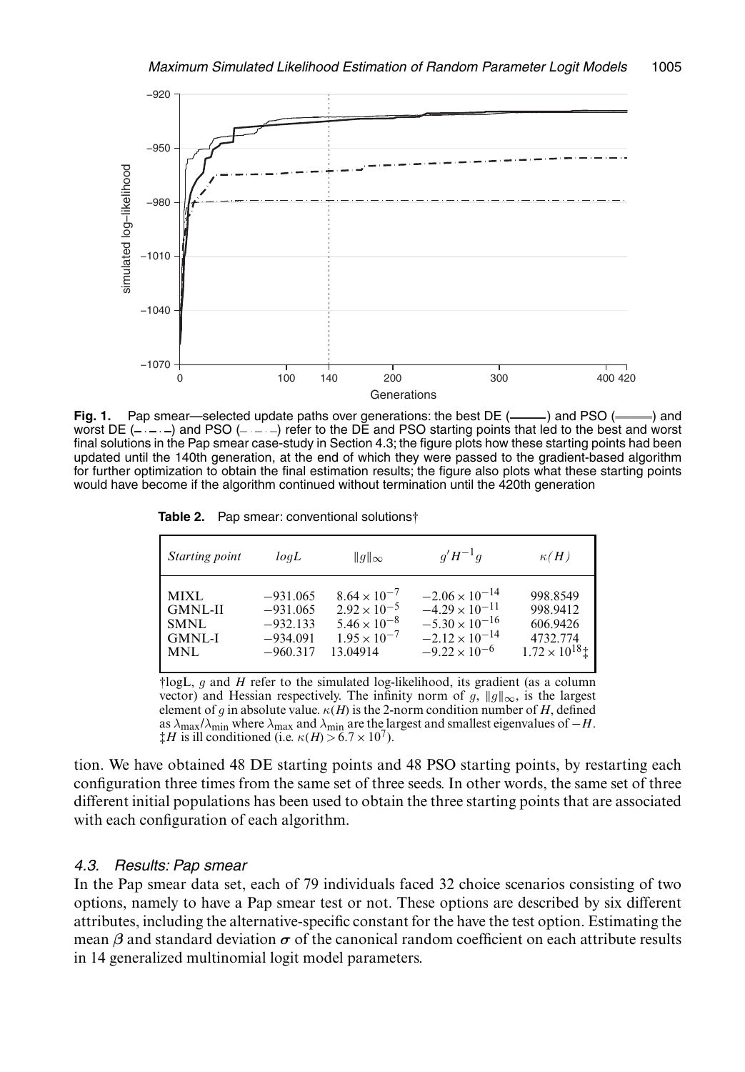

**Fig. 1.** Pap smear—selected update paths over generations: the best DE (——) and PSO (——) and worst DE  $(-,-,-)$  and PSO  $(-,-,-)$  refer to the DE and PSO starting points that led to the best and worst final solutions in the Pap smear case-study in Section 4.3; the figure plots how these starting points had been updated until the 140th generation, at the end of which they were passed to the gradient-based algorithm for further optimization to obtain the final estimation results; the figure also plots what these starting points would have become if the algorithm continued without termination until the 420th generation

**Table 2.** Pap smear: conventional solutions†

| Starting point | logL       | $  g  _{\infty}$      | $g'H^{-1}g$             | $\kappa(H)$             |
|----------------|------------|-----------------------|-------------------------|-------------------------|
| MIXL           | $-931.065$ | $8.64 \times 10^{-7}$ | $-2.06 \times 10^{-14}$ | 998.8549                |
| <b>GMNL-II</b> | $-931.065$ | $2.92 \times 10^{-5}$ | $-4.29 \times 10^{-11}$ | 998.9412                |
| <b>SMNL</b>    | $-932.133$ | $5.46 \times 10^{-8}$ | $-5.30 \times 10^{-16}$ | 606.9426                |
| <b>GMNL-I</b>  | $-934.091$ | $1.95 \times 10^{-7}$ | $-2.12 \times 10^{-14}$ | 4732.774                |
| MNL            | $-960.317$ | 13.04914              | $-9.22 \times 10^{-6}$  | $1.72 \times 10^{18}$ ± |

 $\frac{1}{2}$  and H refer to the simulated log-likelihood, its gradient (as a column vector) and Hessian respectively. The infinity norm of g,  $||g||_{\infty}$ , is the largest element of g in absolute value.  $\kappa(H)$  is the 2-norm condition number of H, defined as  $\lambda_{\text{max}}/\lambda_{\text{min}}$  where  $\lambda_{\text{max}}$  and  $\lambda_{\text{min}}$  are the largest and smallest eigenvalues of  $-H$ .  $\ddagger H$  is ill conditioned (i.e.  $\kappa(H) > 6.7 \times 10^7$ ).

tion. We have obtained 48 DE starting points and 48 PSO starting points, by restarting each configuration three times from the same set of three seeds. In other words, the same set of three different initial populations has been used to obtain the three starting points that are associated with each configuration of each algorithm.

# *4.3. Results: Pap smear*

In the Pap smear data set, each of 79 individuals faced 32 choice scenarios consisting of two options, namely to have a Pap smear test or not. These options are described by six different attributes, including the alternative-specific constant for the have the test option. Estimating the mean  $\beta$  and standard deviation  $\sigma$  of the canonical random coefficient on each attribute results in 14 generalized multinomial logit model parameters.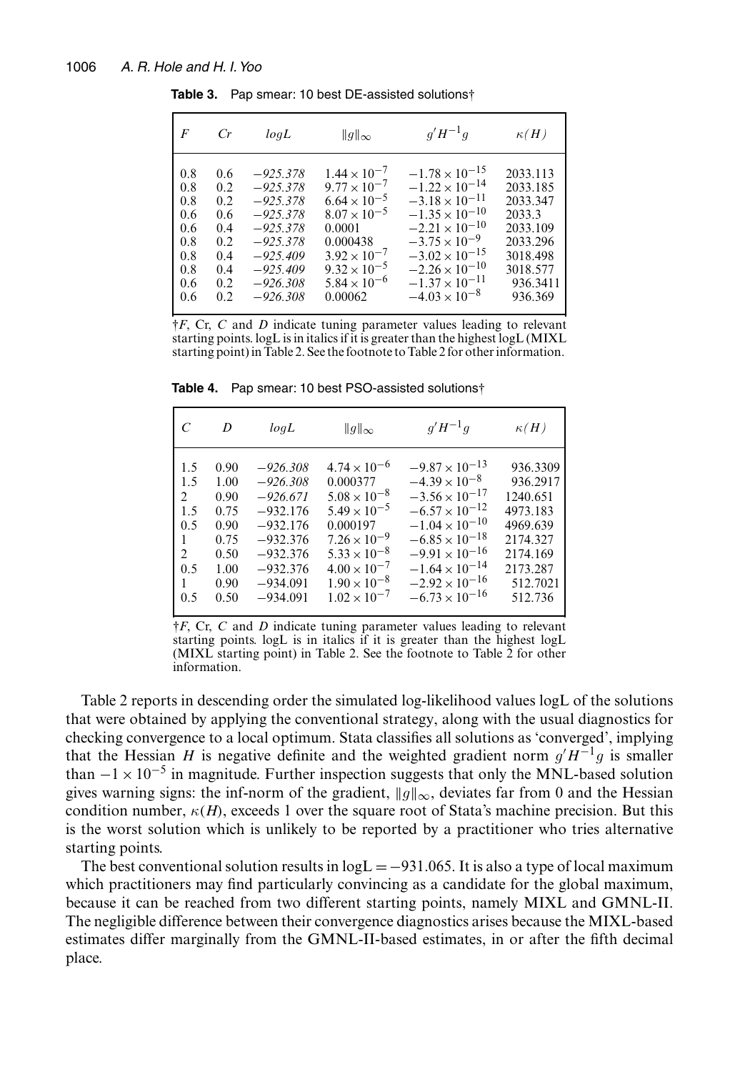| F   | Cr  | logL       | $  g  _{\infty}$      | $g'H^{-1}g$             | $\kappa(H)$ |
|-----|-----|------------|-----------------------|-------------------------|-------------|
| 0.8 | 0.6 | $-925.378$ | $1.44 \times 10^{-7}$ | $-1.78 \times 10^{-15}$ | 2033.113    |
| 0.8 | 0.2 | $-925.378$ | $9.77 \times 10^{-7}$ | $-1.22 \times 10^{-14}$ | 2033.185    |
| 0.8 | 0.2 | $-925378$  | $6.64 \times 10^{-5}$ | $-3.18 \times 10^{-11}$ | 2033.347    |
| 0.6 | 0.6 | $-925.378$ | $8.07 \times 10^{-5}$ | $-1.35 \times 10^{-10}$ | 2033.3      |
| 0.6 | 0.4 | $-925.378$ | 0.0001                | $-2.21 \times 10^{-10}$ | 2033.109    |
| 0.8 | 0.2 | $-925.378$ | 0.000438              | $-3.75 \times 10^{-9}$  | 2033.296    |
| 0.8 | 0.4 | $-925,409$ | $3.92 \times 10^{-7}$ | $-3.02 \times 10^{-15}$ | 3018.498    |
| 0.8 | 0.4 | $-925,409$ | $9.32 \times 10^{-5}$ | $-2.26 \times 10^{-10}$ | 3018.577    |
| 0.6 | 0.2 | $-926.308$ | $5.84 \times 10^{-6}$ | $-1.37 \times 10^{-11}$ | 936.3411    |
| 0.6 | 0.2 | $-926.308$ | 0.00062               | $-4.03 \times 10^{-8}$  | 936.369     |

**Table 3.** Pap smear: 10 best DE-assisted solutions†

†*F*, Cr, *C* and *D* indicate tuning parameter values leading to relevant starting points. logL is in italics if it is greater than the highest logL (MIXL starting point) in Table 2. See the footnote to Table 2 for other information.

*C D*  $logL$   $||g||_{\infty}$   $g'$  $\kappa(H^{-1}g$   $\kappa(H)$ 1.5 0.90 −926.308 4.74 × 10<sup>-6</sup> −9.87 × 10<sup>-13</sup> 936.3309<br>1.5 1.00 −926.308 0.000377 −4.39 × 10<sup>-8</sup> 936.2917 1.5 1.00  $-926.308$  0.000377  $-4.39 \times 10^{-8}$  936.291<br>2 0.90  $-926.671$   $5.08 \times 10^{-8}$   $-3.56 \times 10^{-17}$  1240.651 2 0.90  $-926.671$   $5.08 \times 10^{-8}$   $-3.56 \times 10^{-17}$  1240.651<br>1.5 0.75  $-932.176$   $5.49 \times 10^{-5}$   $-6.57 \times 10^{-12}$  4973.183 1.5 0.75 −932.176  $5.49 \times 10^{-5}$  −6.57 $\times 10^{-12}$  4973.183<br>0.5 0.90 −932.176 0.000197 −1.04 $\times 10^{-10}$  4969.639 0.5 0.90 −932.176 0.000197 −1.04 × 10<sup>-10</sup> 4969.639<br>1 0.75 −932.376 7.26 × 10<sup>-9</sup> −6.85 × 10<sup>-18</sup> 2174.327 1 0.75 −932.376 7.26 × 10<sup>-9</sup> −6.85 × 10<sup>-18</sup> 2174.327<br>2 0.50 −932.376 5.33 × 10<sup>-8</sup> −9.91 × 10<sup>-16</sup> 2174.169 2 0.50 −932.376  $5.33 \times 10^{-8}$  −9.91 $\times 10^{-16}$  2174.169<br>0.5 1.00 −932.376  $4.00 \times 10^{-7}$  −1.64 $\times 10^{-14}$  2173.287 0.5 1.00 −932.376  $4.00 \times 10^{-7}$  −1.64  $\times 10^{-14}$  2173.287<br>1 0.90 −934.091  $1.90 \times 10^{-8}$  −2.92  $\times 10^{-16}$  512.7021 1 0.90 −934.091  $1.90 \times 10^{-8}$  −2.92×10<sup>-16</sup> 512.702<br>0.5 0.50 −934.091  $1.02 \times 10^{-7}$  −6.73×10<sup>-16</sup> 512.736  $-6.73 \times 10^{-16}$ 

**Table 4.** Pap smear: 10 best PSO-assisted solutions†

†*F*, Cr, *C* and *D* indicate tuning parameter values leading to relevant starting points. logL is in italics if it is greater than the highest logL (MIXL starting point) in Table 2. See the footnote to Table 2 for other information.

Table 2 reports in descending order the simulated log-likelihood values logL of the solutions that were obtained by applying the conventional strategy, along with the usual diagnostics for checking convergence to a local optimum. Stata classifies all solutions as 'converged', implying that the Hessian H is negative definite and the weighted gradient norm  $g'H^{-1}g$  is smaller<br>than  $-1 \times 10^{-5}$  in magnitude Eurther inspection suggests that only the MNI shared solution than  $-1 \times 10^{-5}$  in magnitude. Further inspection suggests that only the MNL-based solution gives warning signs: the inf-norm of the gradient,  $||g||_{\infty}$ , deviates far from 0 and the Hessian condition number,  $\kappa(H)$ , exceeds 1 over the square root of Stata's machine precision. But this is the worst solution which is unlikely to be reported by a practitioner who tries alternative starting points.

The best conventional solution results in  $log L = -931.065$ . It is also a type of local maximum which practitioners may find particularly convincing as a candidate for the global maximum, because it can be reached from two different starting points, namely MIXL and GMNL-II. The negligible difference between their convergence diagnostics arises because the MIXL-based estimates differ marginally from the GMNL-II-based estimates, in or after the fifth decimal place.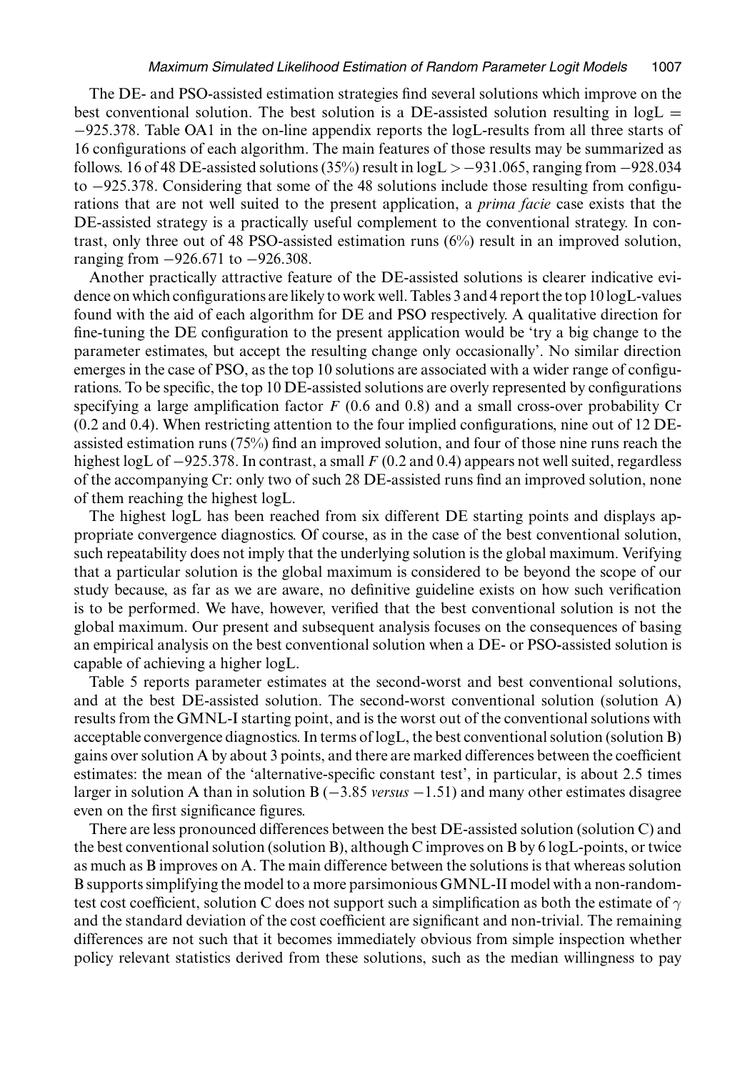The DE- and PSO-assisted estimation strategies find several solutions which improve on the best conventional solution. The best solution is a DE-assisted solution resulting in  $logL =$ <sup>−</sup>925:378. Table OA1 in the on-line appendix reports the logL-results from all three starts of 16 configurations of each algorithm. The main features of those results may be summarized as follows. 16 of 48 DE-assisted solutions  $(35%)$  result in logL > −931.065, ranging from −928.034 to <sup>−</sup>925:378. Considering that some of the 48 solutions include those resulting from configurations that are not well suited to the present application, a *prima facie* case exists that the DE-assisted strategy is a practically useful complement to the conventional strategy. In contrast, only three out of 48 PSO-assisted estimation runs  $(6%)$  result in an improved solution, ranging from <sup>−</sup>926:671 to <sup>−</sup>926:308.

Another practically attractive feature of the DE-assisted solutions is clearer indicative evidence on which configurations are likely to work well. Tables 3 and 4 report the top 10 logL-values found with the aid of each algorithm for DE and PSO respectively. A qualitative direction for fine-tuning the DE configuration to the present application would be 'try a big change to the parameter estimates, but accept the resulting change only occasionally'. No similar direction emerges in the case of PSO, as the top 10 solutions are associated with a wider range of configurations. To be specific, the top 10 DE-assisted solutions are overly represented by configurations specifying a large amplification factor  $F(0.6 \text{ and } 0.8)$  and a small cross-over probability Cr (0.2 and 0.4). When restricting attention to the four implied configurations, nine out of 12 DEassisted estimation runs (75%) find an improved solution, and four of those nine runs reach the highest logL of  $-925.378$ . In contrast, a small F (0.2 and 0.4) appears not well suited, regardless of the accompanying Cr: only two of such 28 DE-assisted runs find an improved solution, none of them reaching the highest logL.

The highest logL has been reached from six different DE starting points and displays appropriate convergence diagnostics. Of course, as in the case of the best conventional solution, such repeatability does not imply that the underlying solution is the global maximum. Verifying that a particular solution is the global maximum is considered to be beyond the scope of our study because, as far as we are aware, no definitive guideline exists on how such verification is to be performed. We have, however, verified that the best conventional solution is not the global maximum. Our present and subsequent analysis focuses on the consequences of basing an empirical analysis on the best conventional solution when a DE- or PSO-assisted solution is capable of achieving a higher logL.

Table 5 reports parameter estimates at the second-worst and best conventional solutions, and at the best DE-assisted solution. The second-worst conventional solution (solution A) results from the GMNL-I starting point, and is the worst out of the conventional solutions with acceptable convergence diagnostics. In terms of logL, the best conventional solution (solution B) gains over solution A by about 3 points, and there are marked differences between the coefficient estimates: the mean of the 'alternative-specific constant test', in particular, is about 2.5 times larger in solution A than in solution B (−3:<sup>85</sup> *versus* <sup>−</sup>1:51) and many other estimates disagree even on the first significance figures.

There are less pronounced differences between the best DE-assisted solution (solution C) and the best conventional solution (solution B), although C improves on B by 6 logL-points, or twice as much as B improves on A. The main difference between the solutions is that whereas solution B supports simplifying the model to a more parsimonious GMNL-II model with a non-randomtest cost coefficient, solution C does not support such a simplification as both the estimate of  $\gamma$ and the standard deviation of the cost coefficient are significant and non-trivial. The remaining differences are not such that it becomes immediately obvious from simple inspection whether policy relevant statistics derived from these solutions, such as the median willingness to pay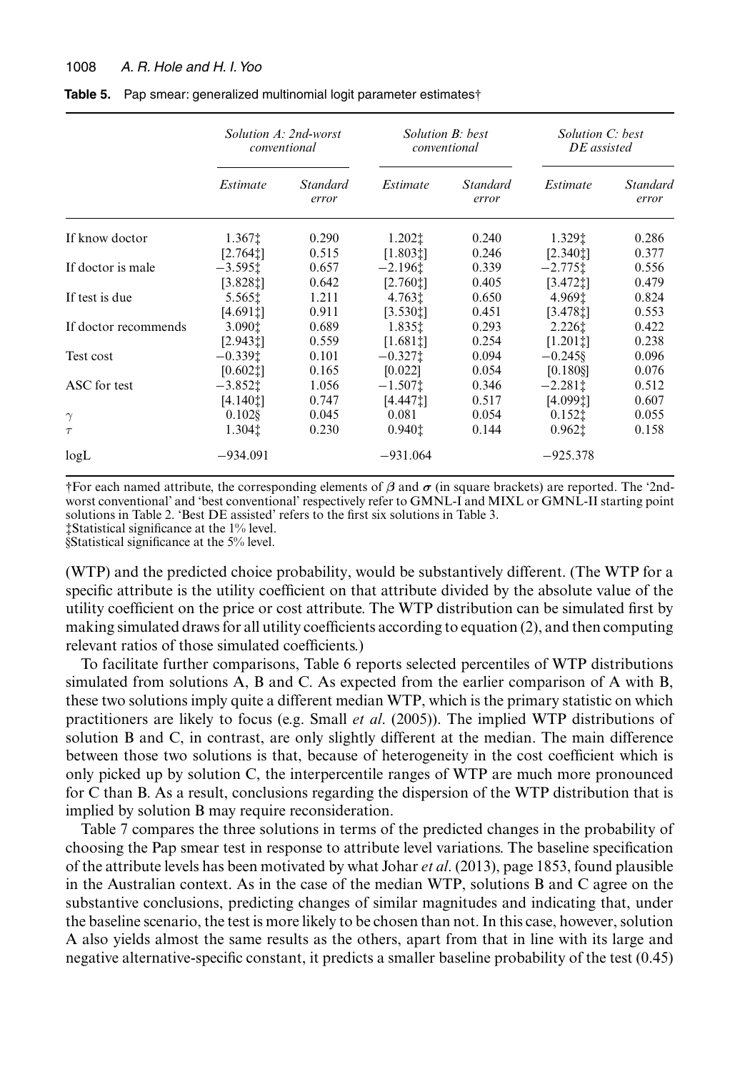|                      | Solution A: 2nd-worst<br>conventional |                          | Solution B: best<br>conventional |                          | Solution C: best<br>DE assisted          |                          |
|----------------------|---------------------------------------|--------------------------|----------------------------------|--------------------------|------------------------------------------|--------------------------|
|                      | Estimate                              | <b>Standard</b><br>error | Estimate                         | <b>Standard</b><br>error | Estimate                                 | <b>Standard</b><br>error |
| If know doctor       | 1.367†                                | 0.290                    | 1.2021                           | 0.240                    | 1.3291                                   | 0.286                    |
|                      | [2.764]                               | 0.515                    | [1.8031]                         | 0.246                    | [2.340]                                  | 0.377                    |
| If doctor is male    | $-3.595$ <sup>t</sup>                 | 0.657                    | $-2.196$                         | 0.339                    | $-2.775$ <sup><math>\dagger</math></sup> | 0.556                    |
|                      | [3.8281]                              | 0.642                    | [2.760]                          | 0.405                    | [3.4721]                                 | 0.479                    |
| If test is due       | 5.5651                                | 1.211                    | 4.7631                           | 0.650                    | 4.9691                                   | 0.824                    |
|                      | [4.6911]                              | 0.911                    | [3.5301]                         | 0.451                    | [3.4781]                                 | 0.553                    |
| If doctor recommends | 3.0901                                | 0.689                    | 1.8351                           | 0.293                    | 2.2261                                   | 0.422                    |
|                      | [2.943]                               | 0.559                    | [1.6811]                         | 0.254                    | [1.2011]                                 | 0.238                    |
| Test cost            | $-0.3391$                             | 0.101                    | $-0.3271$                        | 0.094                    | $-0.2458$                                | 0.096                    |
|                      | [0.6021]                              | 0.165                    | [0.022]                          | 0.054                    | $[0.180$ §]                              | 0.076                    |
| ASC for test         | $-3.8521$                             | 1.056                    | $-1.507$ <sup>t</sup>            | 0.346                    | $-2.2811$                                | 0.512                    |
|                      | [4.140]                               | 0.747                    | [4.447]                          | 0.517                    | [4.0991]                                 | 0.607                    |
| $\gamma$             | 0.1028                                | 0.045                    | 0.081                            | 0.054                    | 0.1521                                   | 0.055                    |
| $\tau$               | 1.304†                                | 0.230                    | $0.940$ <sup>†</sup>             | 0.144                    | 0.962‡                                   | 0.158                    |
| logL                 | $-934.091$                            |                          | $-931.064$                       |                          | $-925.378$                               |                          |

|  | <b>Table 5.</b> Pap smear: generalized multinomial logit parameter estimates† |  |  |  |  |  |
|--|-------------------------------------------------------------------------------|--|--|--|--|--|
|--|-------------------------------------------------------------------------------|--|--|--|--|--|

†For each named attribute, the corresponding elements of *β* and *σ* (in square brackets) are reported. The '2ndworst conventional' and 'best conventional' respectively refer to GMNL-I and MIXL or GMNL-II starting point solutions in Table 2. 'Best DE assisted' refers to the first six solutions in Table 3. ‡Statistical significance at the 1% level.

§Statistical significance at the 5% level.

(WTP) and the predicted choice probability, would be substantively different. (The WTP for a specific attribute is the utility coefficient on that attribute divided by the absolute value of the utility coefficient on the price or cost attribute. The WTP distribution can be simulated first by making simulated draws for all utility coefficients according to equation (2), and then computing relevant ratios of those simulated coefficients.)

To facilitate further comparisons, Table 6 reports selected percentiles of WTP distributions simulated from solutions A, B and C. As expected from the earlier comparison of A with B, these two solutions imply quite a different median WTP, which is the primary statistic on which practitioners are likely to focus (e.g. Small *et al*. (2005)). The implied WTP distributions of solution B and C, in contrast, are only slightly different at the median. The main difference between those two solutions is that, because of heterogeneity in the cost coefficient which is only picked up by solution C, the interpercentile ranges of WTP are much more pronounced for C than B. As a result, conclusions regarding the dispersion of the WTP distribution that is implied by solution B may require reconsideration.

Table 7 compares the three solutions in terms of the predicted changes in the probability of choosing the Pap smear test in response to attribute level variations. The baseline specification of the attribute levels has been motivated by what Johar *et al*. (2013), page 1853, found plausible in the Australian context. As in the case of the median WTP, solutions B and C agree on the substantive conclusions, predicting changes of similar magnitudes and indicating that, under the baseline scenario, the test is more likely to be chosen than not. In this case, however, solution A also yields almost the same results as the others, apart from that in line with its large and negative alternative-specific constant, it predicts a smaller baseline probability of the test (0.45)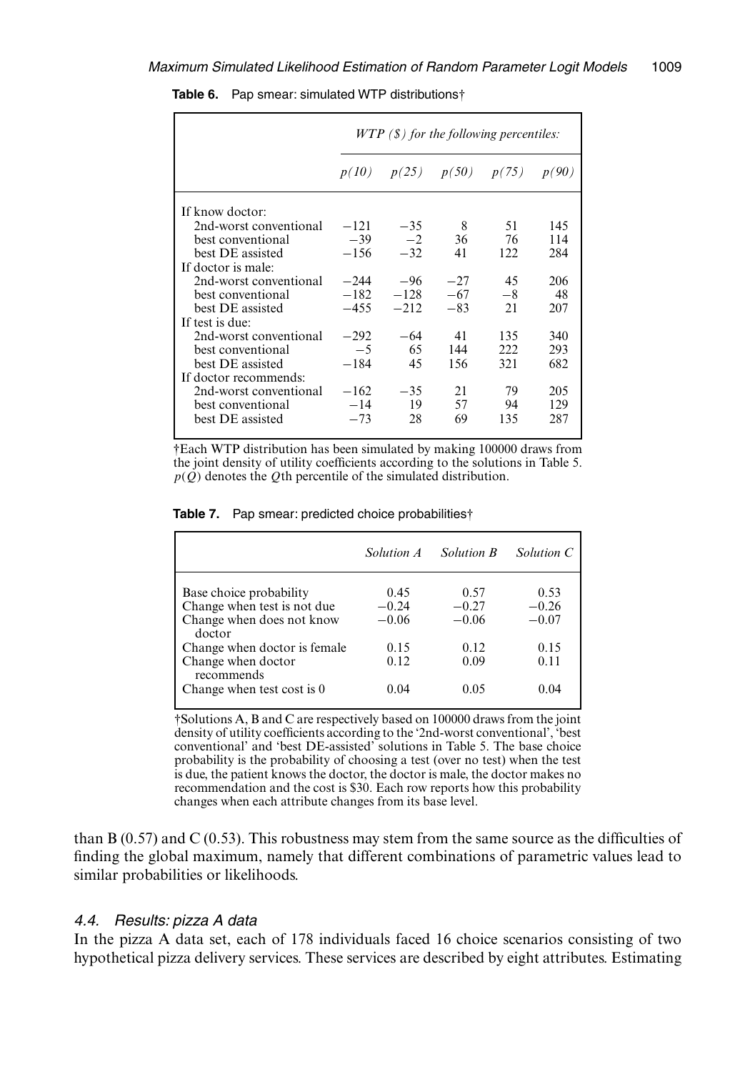|                        | $WTP$ (\$) for the following percentiles: |              |                                 |      |       |
|------------------------|-------------------------------------------|--------------|---------------------------------|------|-------|
|                        |                                           |              | $p(10)$ $p(25)$ $p(50)$ $p(75)$ |      | p(90) |
| If know doctor:        |                                           |              |                                 |      |       |
| 2nd-worst conventional | $-121$                                    | $-35$        | 8                               | 51   | 145   |
| best conventional      | $-39$                                     | $-2$         | 36                              | 76   | 114   |
| best DE assisted       | $-156$                                    | $-32$        | 41                              | 122  | 284   |
| If doctor is male:     |                                           |              |                                 |      |       |
| 2nd-worst conventional |                                           | $-244 - 96$  | $-27$                           | 45   | 206   |
| best conventional      |                                           | $-182 - 128$ | $-67$                           | $-8$ | 48    |
| best DE assisted       | $-455$                                    | $-212$       | $-83$                           | 21   | 207   |
| If test is due:        |                                           |              |                                 |      |       |
| 2nd-worst conventional | $-292$                                    | $-64$        | 41                              | 135  | 340   |
| best conventional      | $-5$                                      | 65           | 144                             | 222  | 293   |
| best DE assisted       | $-184$                                    | 45           | 156                             | 321  | 682   |
| If doctor recommends:  |                                           |              |                                 |      |       |
| 2nd-worst conventional | $-162$                                    | $-35$        | 21                              | 79   | 205   |
| best conventional      | $-14$                                     | 19           | 57                              | 94   | 129   |
| best DE assisted       | $-73$                                     | 28           | 69                              | 135  | 287   |

**Table 6.** Pap smear: simulated WTP distributions†

†Each WTP distribution has been simulated by making 100000 draws from the joint density of utility coefficients according to the solutions in Table 5.  $p(Q)$  denotes the Qth percentile of the simulated distribution.

|  |  | <b>Table 7.</b> Pap smear: predicted choice probabilities† |  |  |  |
|--|--|------------------------------------------------------------|--|--|--|
|--|--|------------------------------------------------------------|--|--|--|

|                                                                                                 | Solution A                 | <b>Solution B</b>          | Solution C                 |
|-------------------------------------------------------------------------------------------------|----------------------------|----------------------------|----------------------------|
| Base choice probability<br>Change when test is not due<br>Change when does not know<br>doctor   | 0.45<br>$-0.24$<br>$-0.06$ | 0.57<br>$-0.27$<br>$-0.06$ | 0.53<br>$-0.26$<br>$-0.07$ |
| Change when doctor is female.<br>Change when doctor<br>recommends<br>Change when test cost is 0 | 0.15<br>0.12<br>0.04       | 0.12<br>0.09<br>0.05       | 0.15<br>0.11<br>0.04       |

†Solutions A, B and C are respectively based on 100000 draws from the joint density of utility coefficients according to the '2nd-worst conventional', 'best conventional' and 'best DE-assisted' solutions in Table 5. The base choice probability is the probability of choosing a test (over no test) when the test is due, the patient knows the doctor, the doctor is male, the doctor makes no recommendation and the cost is \$30. Each row reports how this probability changes when each attribute changes from its base level.

than B  $(0.57)$  and C  $(0.53)$ . This robustness may stem from the same source as the difficulties of finding the global maximum, namely that different combinations of parametric values lead to similar probabilities or likelihoods.

## *4.4. Results: pizza A data*

In the pizza A data set, each of 178 individuals faced 16 choice scenarios consisting of two hypothetical pizza delivery services. These services are described by eight attributes. Estimating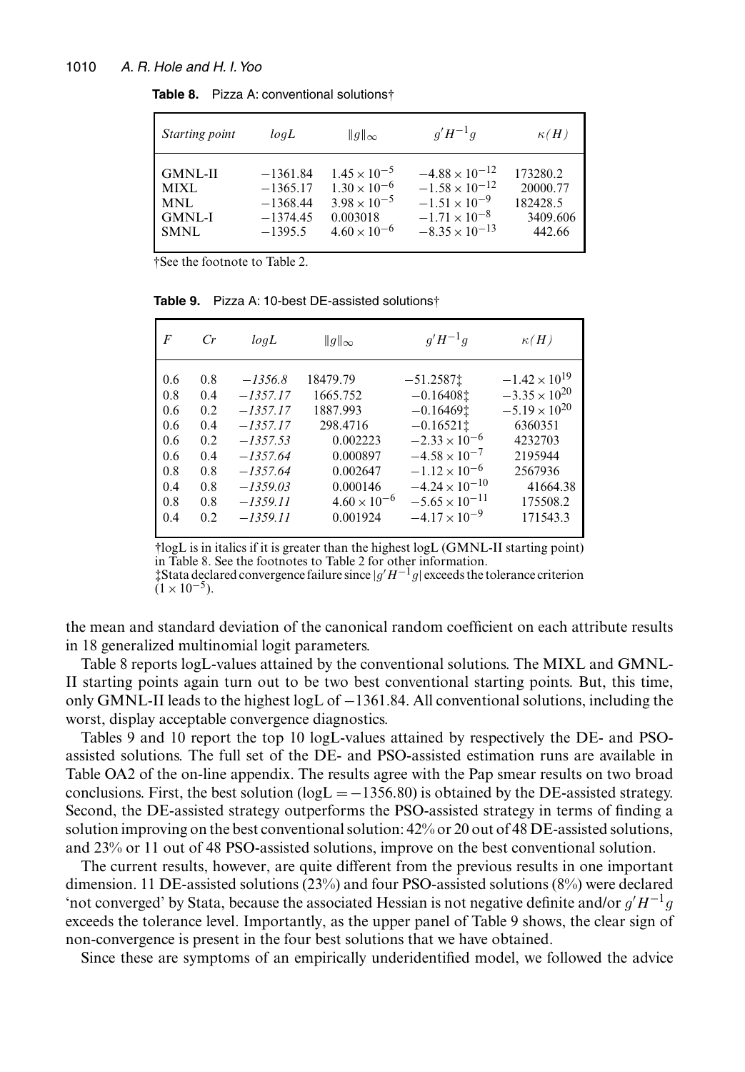| Starting point | logL       | $\ g\ _{\infty}$      | $g'H^{-1}g$             | $\kappa(H)$ |
|----------------|------------|-----------------------|-------------------------|-------------|
| <b>GMNL-II</b> | $-1361.84$ | $1.45 \times 10^{-5}$ | $-4.88 \times 10^{-12}$ | 173280.2    |
| MIXL           | $-1365.17$ | $1.30 \times 10^{-6}$ | $-1.58 \times 10^{-12}$ | 20000.77    |
| MNL            | $-1368.44$ | $3.98 \times 10^{-5}$ | $-1.51 \times 10^{-9}$  | 182428.5    |
| <b>GMNL-I</b>  | $-1374.45$ | 0.003018              | $-1.71 \times 10^{-8}$  | 3409.606    |
| SMNL           | $-1395.5$  | $4.60 \times 10^{-6}$ | $-8.35 \times 10^{-13}$ | 442.66      |

**Table 8.** Pizza A: conventional solutions†

†See the footnote to Table 2.

**Table 9.** Pizza A: 10-best DE-assisted solutions†

| F   | $_{Cr}$ | logL       | $  g  _{\infty}$      | $g'H^{-1}g$             | $\kappa(H)$            |
|-----|---------|------------|-----------------------|-------------------------|------------------------|
| 0.6 | 0.8     | $-1356.8$  | 18479.79              | $-51.2587$              | $-1.42 \times 10^{19}$ |
| 0.8 | 0.4     | $-1357.17$ | 1665.752              | $-0.16408$              | $-3.35 \times 10^{20}$ |
| 0.6 | 0.2     | $-1357.17$ | 1887.993              | $-0.16469$ t            | $-5.19 \times 10^{20}$ |
| 0.6 | 0.4     | $-1357.17$ | 298.4716              | $-0.16521$              | 6360351                |
| 0.6 | 0.2     | $-1357.53$ | 0.002223              | $-2.33 \times 10^{-6}$  | 4232703                |
| 0.6 | 0.4     | $-1357.64$ | 0.000897              | $-4.58 \times 10^{-7}$  | 2195944                |
| 0.8 | 0.8     | $-1357.64$ | 0.002647              | $-1.12 \times 10^{-6}$  | 2567936                |
| 0.4 | 0.8     | $-1359.03$ | 0.000146              | $-4.24 \times 10^{-10}$ | 41664.38               |
| 0.8 | 0.8     | $-1359.11$ | $4.60 \times 10^{-6}$ | $-5.65 \times 10^{-11}$ | 175508.2               |
| 0.4 | 0.2     | $-1359.11$ | 0.001924              | $-4.17 \times 10^{-9}$  | 171543.3               |

†logL is in italics if it is greater than the highest logL (GMNL-II starting point) in Table 8. See the footnotes to Table 2 for other information. ‡Stata declared convergence failure since  $|g'H^{-1}g|$  exceeds the tolerance criterion  $(1 \times 10^{-5})$ .

 $(1\times10^{-5})$ .

the mean and standard deviation of the canonical random coefficient on each attribute results in 18 generalized multinomial logit parameters.

Table 8 reports logL-values attained by the conventional solutions. The MIXL and GMNL-II starting points again turn out to be two best conventional starting points. But, this time, only GMNL-II leads to the highest logL of <sup>−</sup>1361:84. All conventional solutions, including the worst, display acceptable convergence diagnostics.

Tables 9 and 10 report the top 10 logL-values attained by respectively the DE- and PSOassisted solutions. The full set of the DE- and PSO-assisted estimation runs are available in Table OA2 of the on-line appendix. The results agree with the Pap smear results on two broad conclusions. First, the best solution ( $log L = -1356.80$ ) is obtained by the DE-assisted strategy. Second, the DE-assisted strategy outperforms the PSO-assisted strategy in terms of finding a solution improving on the best conventional solution: 42% or 20 out of 48 DE-assisted solutions, and 23% or 11 out of 48 PSO-assisted solutions, improve on the best conventional solution.

The current results, however, are quite different from the previous results in one important dimension. 11 DE-assisted solutions (23%) and four PSO-assisted solutions (8%) were declared 'not converged' by Stata, because the associated Hessian is not negative definite and/or  $g'H^{-1}g$ <br>exceeds the tolerance level. Importantly, as the unper panel of Table 9 shows, the clear sign of exceeds the tolerance level. Importantly, as the upper panel of Table 9 shows, the clear sign of non-convergence is present in the four best solutions that we have obtained.

Since these are symptoms of an empirically underidentified model, we followed the advice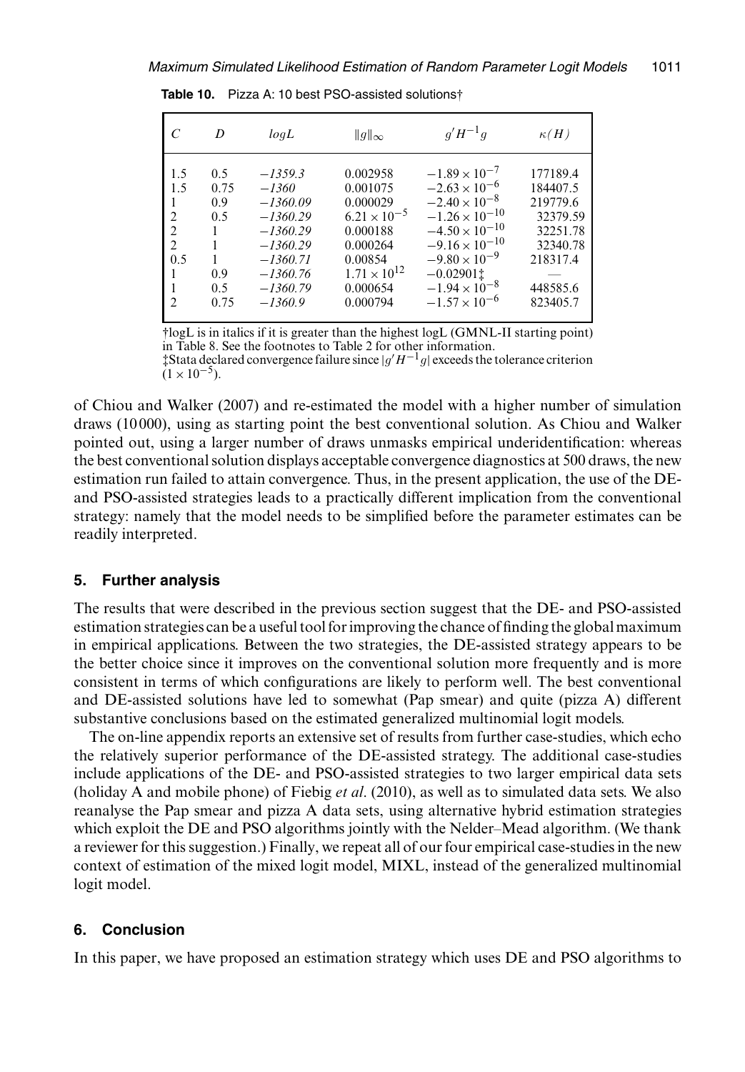| C                                                                                         | D                                               | logL                                                                                                                                | $  g  _{\infty}$                                                                                                                              | $g'H^{-1}g$                                                                                                                                                                                                                                             | $\kappa(H)$                                                                                              |
|-------------------------------------------------------------------------------------------|-------------------------------------------------|-------------------------------------------------------------------------------------------------------------------------------------|-----------------------------------------------------------------------------------------------------------------------------------------------|---------------------------------------------------------------------------------------------------------------------------------------------------------------------------------------------------------------------------------------------------------|----------------------------------------------------------------------------------------------------------|
| 1.5<br>1.5<br>$\overline{2}$<br>$\overline{2}$<br>$\overline{2}$<br>0.5<br>$\mathfrak{D}$ | 0.5<br>0.75<br>0.9<br>0.5<br>0.9<br>0.5<br>0.75 | $-1359.3$<br>$-1360$<br>$-1360.09$<br>$-1360.29$<br>$-1360.29$<br>$-1360.29$<br>$-1360.71$<br>$-1360.76$<br>$-1360.79$<br>$-1360.9$ | 0.002958<br>0.001075<br>0.000029<br>$6.21 \times 10^{-5}$<br>0.000188<br>0.000264<br>0.00854<br>$1.71 \times 10^{12}$<br>0.000654<br>0.000794 | $-1.89 \times 10^{-7}$<br>$-2.63 \times 10^{-6}$<br>$-2.40 \times 10^{-8}$<br>$-1.26 \times 10^{-10}$<br>$-4.50 \times 10^{-10}$<br>$-9.16 \times 10^{-10}$<br>$-9.80 \times 10^{-9}$<br>$-0.02901$<br>$-1.94 \times 10^{-8}$<br>$-1.57 \times 10^{-6}$ | 177189.4<br>184407.5<br>219779.6<br>32379.59<br>32251.78<br>32340.78<br>218317.4<br>448585.6<br>823405.7 |

**Table 10.** Pizza A: 10 best PSO-assisted solutions†

†logL is in italics if it is greater than the highest logL (GMNL-II starting point) in Table 8. See the footnotes to Table 2 for other information.

‡Stata declared convergence failure since  $|g'H^{-1}g|$  exceeds the tolerance criterion  $(1 \times 10^{-5})$ .  $(1\times10^{-5})$ .

of Chiou and Walker (2007) and re-estimated the model with a higher number of simulation draws (10 000), using as starting point the best conventional solution. As Chiou and Walker pointed out, using a larger number of draws unmasks empirical underidentification: whereas the best conventional solution displays acceptable convergence diagnostics at 500 draws, the new estimation run failed to attain convergence. Thus, in the present application, the use of the DEand PSO-assisted strategies leads to a practically different implication from the conventional strategy: namely that the model needs to be simplified before the parameter estimates can be readily interpreted.

## **5. Further analysis**

The results that were described in the previous section suggest that the DE- and PSO-assisted estimation strategies can be a useful tool for improving the chance of finding the global maximum in empirical applications. Between the two strategies, the DE-assisted strategy appears to be the better choice since it improves on the conventional solution more frequently and is more consistent in terms of which configurations are likely to perform well. The best conventional and DE-assisted solutions have led to somewhat (Pap smear) and quite (pizza A) different substantive conclusions based on the estimated generalized multinomial logit models.

The on-line appendix reports an extensive set of results from further case-studies, which echo the relatively superior performance of the DE-assisted strategy. The additional case-studies include applications of the DE- and PSO-assisted strategies to two larger empirical data sets (holiday A and mobile phone) of Fiebig *et al*. (2010), as well as to simulated data sets. We also reanalyse the Pap smear and pizza A data sets, using alternative hybrid estimation strategies which exploit the DE and PSO algorithms jointly with the Nelder–Mead algorithm. (We thank a reviewer for this suggestion.) Finally, we repeat all of our four empirical case-studies in the new context of estimation of the mixed logit model, MIXL, instead of the generalized multinomial logit model.

# **6. Conclusion**

In this paper, we have proposed an estimation strategy which uses DE and PSO algorithms to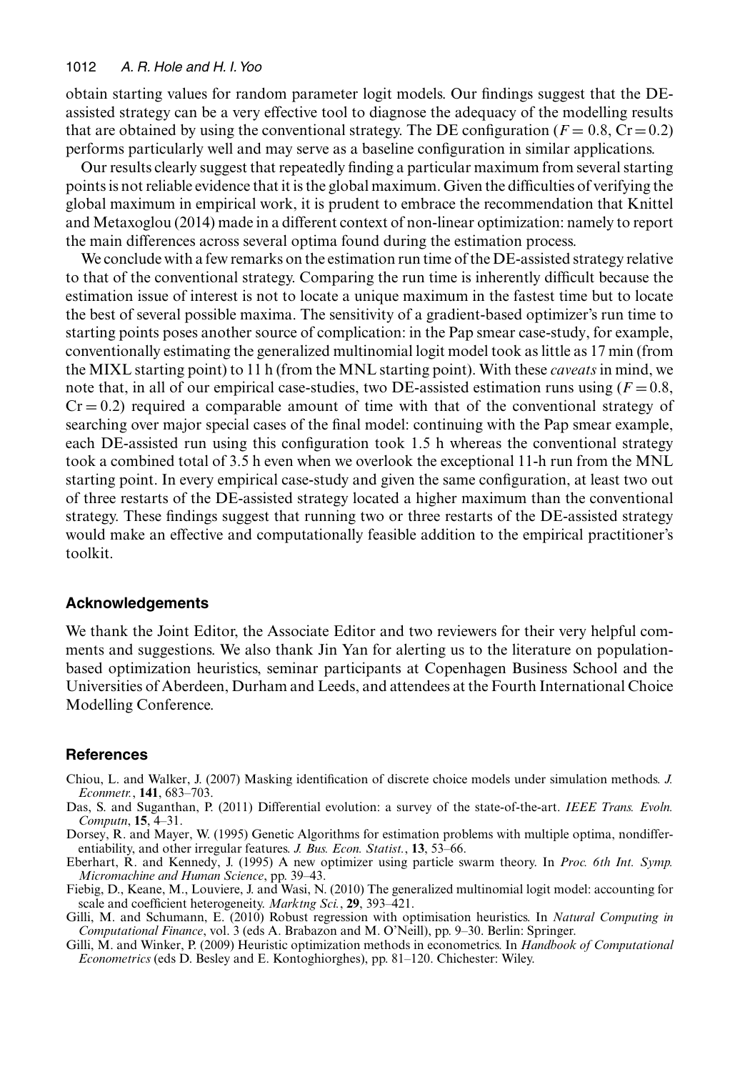#### 1012 *A. R. Hole and H. I.Yoo*

obtain starting values for random parameter logit models. Our findings suggest that the DEassisted strategy can be a very effective tool to diagnose the adequacy of the modelling results that are obtained by using the conventional strategy. The DE configuration ( $F = 0.8$ ,  $Cr = 0.2$ ) performs particularly well and may serve as a baseline configuration in similar applications.

Our results clearly suggest that repeatedly finding a particular maximum from several starting points is not reliable evidence that it is the global maximum. Given the difficulties of verifying the global maximum in empirical work, it is prudent to embrace the recommendation that Knittel and Metaxoglou (2014) made in a different context of non-linear optimization: namely to report the main differences across several optima found during the estimation process.

We conclude with a few remarks on the estimation run time of the DE-assisted strategy relative to that of the conventional strategy. Comparing the run time is inherently difficult because the estimation issue of interest is not to locate a unique maximum in the fastest time but to locate the best of several possible maxima. The sensitivity of a gradient-based optimizer's run time to starting points poses another source of complication: in the Pap smear case-study, for example, conventionally estimating the generalized multinomial logit model took as little as 17 min (from the MIXL starting point) to 11 h (from the MNL starting point). With these *caveats* in mind, we note that, in all of our empirical case-studies, two DE-assisted estimation runs using ( $F = 0.8$ ,  $Cr = 0.2$ ) required a comparable amount of time with that of the conventional strategy of searching over major special cases of the final model: continuing with the Pap smear example, each DE-assisted run using this configuration took 1.5 h whereas the conventional strategy took a combined total of 3.5 h even when we overlook the exceptional 11-h run from the MNL starting point. In every empirical case-study and given the same configuration, at least two out of three restarts of the DE-assisted strategy located a higher maximum than the conventional strategy. These findings suggest that running two or three restarts of the DE-assisted strategy would make an effective and computationally feasible addition to the empirical practitioner's toolkit.

## **Acknowledgements**

We thank the Joint Editor, the Associate Editor and two reviewers for their very helpful comments and suggestions. We also thank Jin Yan for alerting us to the literature on populationbased optimization heuristics, seminar participants at Copenhagen Business School and the Universities of Aberdeen, Durham and Leeds, and attendees at the Fourth International Choice Modelling Conference.

## **References**

- Chiou, L. and Walker, J. (2007) Masking identification of discrete choice models under simulation methods. *J. Econmetr.*, **141**, 683–703.
- Das, S. and Suganthan, P. (2011) Differential evolution: a survey of the state-of-the-art. *IEEE Trans. Evoln. Computn*, **15**, 4–31.
- Dorsey, R. and Mayer, W. (1995) Genetic Algorithms for estimation problems with multiple optima, nondifferentiability, and other irregular features. *J. Bus. Econ. Statist.*, **13**, 53–66.
- Eberhart, R. and Kennedy, J. (1995) A new optimizer using particle swarm theory. In *Proc. 6th Int. Symp. Micromachine and Human Science*, pp. 39–43.
- Fiebig, D., Keane, M., Louviere, J. and Wasi, N. (2010) The generalized multinomial logit model: accounting for scale and coefficient heterogeneity. *Marktng Sci.*, **29**, 393–421.
- Gilli, M. and Schumann, E. (2010) Robust regression with optimisation heuristics. In *Natural Computing in Computational Finance*, vol. 3 (eds A. Brabazon and M. O'Neill), pp. 9–30. Berlin: Springer.
- Gilli, M. and Winker, P. (2009) Heuristic optimization methods in econometrics. In *Handbook of Computational Econometrics* (eds D. Besley and E. Kontoghiorghes), pp. 81–120. Chichester: Wiley.